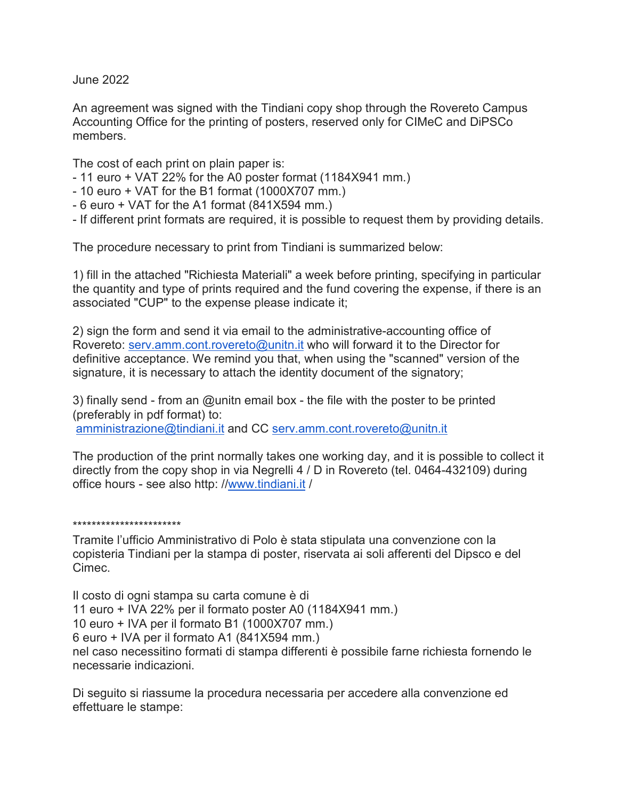June 2022

An agreement was signed with the Tindiani copy shop through the Rovereto Campus Accounting Office for the printing of posters, reserved only for CIMeC and DiPSCo members.

The cost of each print on plain paper is:

- 11 euro + VAT 22% for the A0 poster format (1184X941 mm.)
- 10 euro + VAT for the B1 format (1000X707 mm.)
- 6 euro + VAT for the A1 format (841X594 mm.)
- If different print formats are required, it is possible to request them by providing details.

The procedure necessary to print from Tindiani is summarized below:

1) fill in the attached "Richiesta Materiali" a week before printing, specifying in particular the quantity and type of prints required and the fund covering the expense, if there is an associated "CUP" to the expense please indicate it;

2) sign the form and send it via email to the administrative-accounting office of Rovereto: [serv.amm.cont.rovereto@unitn.it](mailto:serv.amm.cont.rovereto@unitn.it) who will forward it to the Director for definitive acceptance. We remind you that, when using the "scanned" version of the signature, it is necessary to attach the identity document of the signatory;

3) finally send - from an @unitn email box - the file with the poster to be printed (preferably in pdf format) to: [amministrazione@tindiani.it](mailto:amministrazione@tindiani.it) and CC [serv.amm.cont.rovereto@unitn.it](mailto:serv.amm.cont.rovereto@unitn.it)

The production of the print normally takes one working day, and it is possible to collect it directly from the copy shop in via Negrelli 4 / D in Rovereto (tel. 0464-432109) during office hours - see also http: /[/www.tindiani.it](http://www.tindiani.it/) /

\*\*\*\*\*\*\*\*\*\*\*\*\*\*\*\*\*\*\*\*\*\*\*

Tramite l'ufficio Amministrativo di Polo è stata stipulata una convenzione con la copisteria Tindiani per la stampa di poster, riservata ai soli afferenti del Dipsco e del Cimec.

Il costo di ogni stampa su carta comune è di 11 euro + IVA 22% per il formato poster A0 (1184X941 mm.) 10 euro + IVA per il formato B1 (1000X707 mm.) 6 euro + IVA per il formato A1 (841X594 mm.) nel caso necessitino formati di stampa differenti è possibile farne richiesta fornendo le necessarie indicazioni.

Di seguito si riassume la procedura necessaria per accedere alla convenzione ed effettuare le stampe: